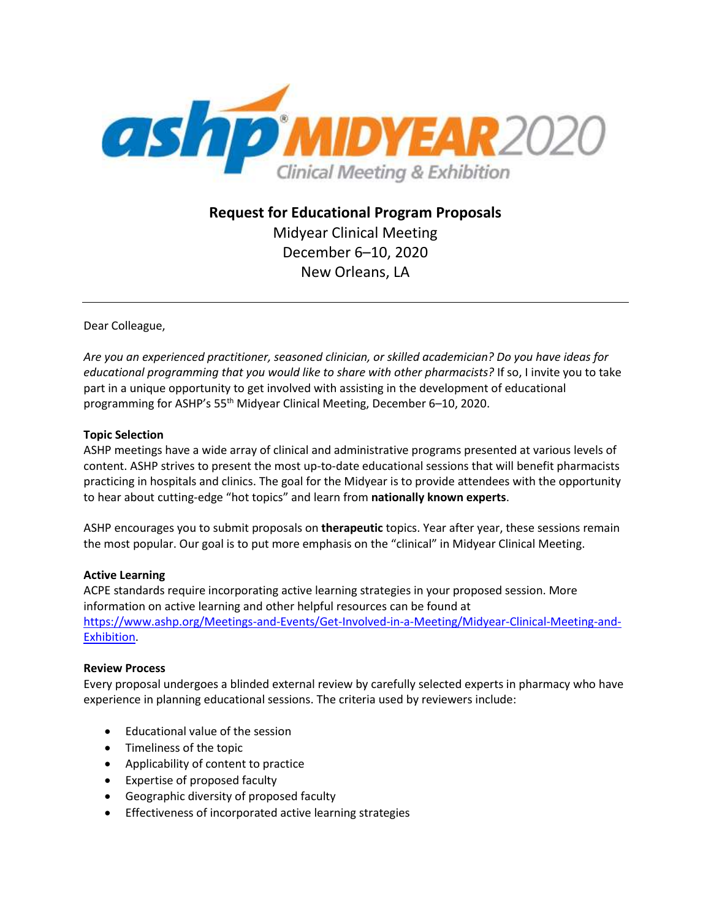

**Request for Educational Program Proposals** Midyear Clinical Meeting December 6–10, 2020 New Orleans, LA

Dear Colleague,

*Are you an experienced practitioner, seasoned clinician, or skilled academician? Do you have ideas for educational programming that you would like to share with other pharmacists?* If so, I invite you to take part in a unique opportunity to get involved with assisting in the development of educational programming for ASHP's 55<sup>th</sup> Midyear Clinical Meeting, December 6–10, 2020.

## **Topic Selection**

ASHP meetings have a wide array of clinical and administrative programs presented at various levels of content. ASHP strives to present the most up-to-date educational sessions that will benefit pharmacists practicing in hospitals and clinics. The goal for the Midyear is to provide attendees with the opportunity to hear about cutting-edge "hot topics" and learn from **nationally known experts**.

ASHP encourages you to submit proposals on **therapeutic** topics. Year after year, these sessions remain the most popular. Our goal is to put more emphasis on the "clinical" in Midyear Clinical Meeting.

## **Active Learning**

ACPE standards require incorporating active learning strategies in your proposed session. More information on active learning and other helpful resources can be found at [https://www.ashp.org/Meetings-and-Events/Get-Involved-in-a-Meeting/Midyear-Clinical-Meeting-and-](https://www.ashp.org/Meetings-and-Events/Get-Involved-in-a-Meeting/Midyear-Clinical-Meeting-and-Exhibition)[Exhibition.](https://www.ashp.org/Meetings-and-Events/Get-Involved-in-a-Meeting/Midyear-Clinical-Meeting-and-Exhibition)

## **Review Process**

Every proposal undergoes a blinded external review by carefully selected experts in pharmacy who have experience in planning educational sessions. The criteria used by reviewers include:

- Educational value of the session
- Timeliness of the topic
- Applicability of content to practice
- Expertise of proposed faculty
- Geographic diversity of proposed faculty
- Effectiveness of incorporated active learning strategies